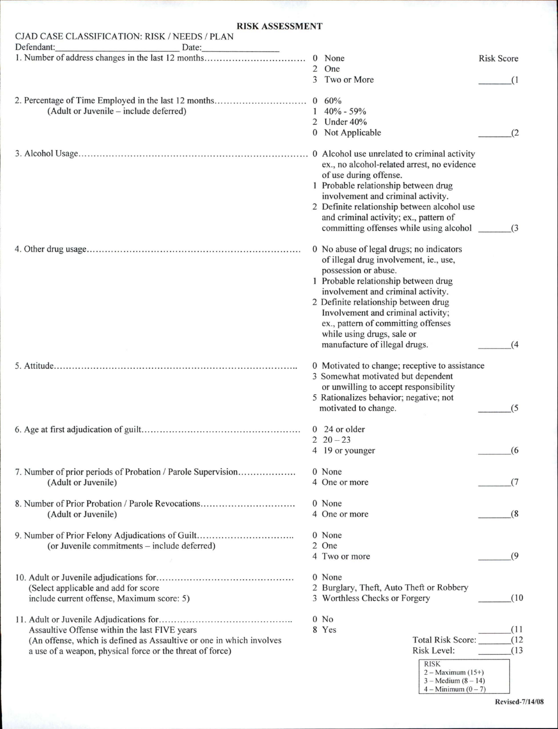## **RISK ASSESSMENT**

| CJAD CASE CLASSIFICATION: RISK / NEEDS / PLAN                        |                                                |                   |
|----------------------------------------------------------------------|------------------------------------------------|-------------------|
| Defendant:<br>Date:                                                  |                                                |                   |
|                                                                      | 0 None                                         | <b>Risk Score</b> |
|                                                                      | 2 One                                          |                   |
|                                                                      | 3 Two or More                                  | (1)               |
| 2. Percentage of Time Employed in the last 12 months                 | 0.60%                                          |                   |
| (Adult or Juvenile – include deferred)                               | $1\quad 40\% - 59\%$                           |                   |
|                                                                      | 2 Under 40%                                    |                   |
|                                                                      | 0 Not Applicable                               | (2)               |
|                                                                      | 0 Alcohol use unrelated to criminal activity   |                   |
|                                                                      | ex., no alcohol-related arrest, no evidence    |                   |
|                                                                      | of use during offense.                         |                   |
|                                                                      | 1 Probable relationship between drug           |                   |
|                                                                      | involvement and criminal activity.             |                   |
|                                                                      | 2 Definite relationship between alcohol use    |                   |
|                                                                      | and criminal activity; ex., pattern of         |                   |
|                                                                      | committing offenses while using alcohol        | (3)               |
|                                                                      | 0 No abuse of legal drugs; no indicators       |                   |
|                                                                      | of illegal drug involvement, ie., use,         |                   |
|                                                                      |                                                |                   |
|                                                                      | possession or abuse.                           |                   |
|                                                                      | 1 Probable relationship between drug           |                   |
|                                                                      | involvement and criminal activity.             |                   |
|                                                                      | 2 Definite relationship between drug           |                   |
|                                                                      | Involvement and criminal activity;             |                   |
|                                                                      | ex., pattern of committing offenses            |                   |
|                                                                      | while using drugs, sale or                     |                   |
|                                                                      | manufacture of illegal drugs.                  | (4)               |
|                                                                      | 0 Motivated to change; receptive to assistance |                   |
|                                                                      | 3 Somewhat motivated but dependent             |                   |
|                                                                      | or unwilling to accept responsibility          |                   |
|                                                                      | 5 Rationalizes behavior; negative; not         |                   |
|                                                                      | motivated to change.                           | (5)               |
|                                                                      | 0 24 or older                                  |                   |
|                                                                      | $2\ \ 20 - 23$                                 |                   |
|                                                                      | 4 19 or younger                                | (6)               |
|                                                                      |                                                |                   |
| 7. Number of prior periods of Probation / Parole Supervision         | 0 None                                         |                   |
| (Adult or Juvenile)                                                  | 4 One or more                                  | (7)               |
| 8. Number of Prior Probation / Parole Revocations                    | 0 None                                         |                   |
| (Adult or Juvenile)                                                  | 4 One or more                                  | (8)               |
| 9. Number of Prior Felony Adjudications of Guilt                     | 0 None                                         |                   |
| (or Juvenile commitments - include deferred)                         | 2 One                                          |                   |
|                                                                      | 4 Two or more                                  | (9)               |
|                                                                      | 0 None                                         |                   |
| (Select applicable and add for score                                 | 2 Burglary, Theft, Auto Theft or Robbery       |                   |
| include current offense, Maximum score: 5)                           | 3 Worthless Checks or Forgery                  | (10)              |
|                                                                      | $0$ No                                         |                   |
| Assaultive Offense within the last FIVE years                        | 8 Yes                                          | (11)              |
| (An offense, which is defined as Assaultive or one in which involves | Total Risk Score:                              | (12)              |
| a use of a weapon, physical force or the threat of force)            | Risk Level:                                    | (13)              |
|                                                                      | <b>RISK</b>                                    |                   |
|                                                                      | $2 - Maximum (15+)$                            |                   |

 $3 - \text{Median} (8 - 14)$  $4 -$ Minimum  $(0 - 7)$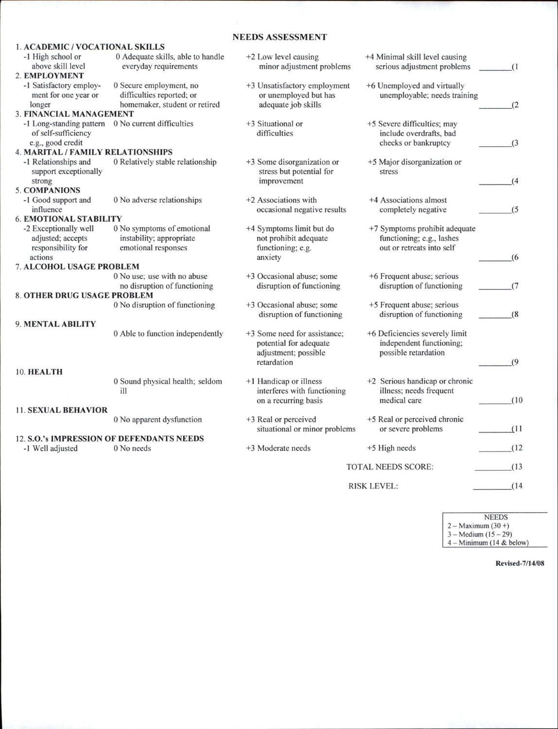|                                                                           |                                           | <b>NEEDS ASSESSMENT</b>       |                                                        |      |
|---------------------------------------------------------------------------|-------------------------------------------|-------------------------------|--------------------------------------------------------|------|
| <b>1. ACADEMIC / VOCATIONAL SKILLS</b>                                    |                                           |                               |                                                        |      |
| -1 High school or                                                         | 0 Adequate skills, able to handle         | +2 Low level causing          | +4 Minimal skill level causing                         |      |
| above skill level                                                         | everyday requirements                     | minor adjustment problems     | serious adjustment problems                            | (1)  |
| 2. EMPLOYMENT                                                             |                                           |                               |                                                        |      |
| -1 Satisfactory employ-                                                   | 0 Secure employment, no                   | +3 Unsatisfactory employment  | +6 Unemployed and virtually                            |      |
| ment for one year or                                                      | difficulties reported; or                 | or unemployed but has         | unemployable; needs training                           |      |
| longer                                                                    | homemaker, student or retired             | adequate job skills           |                                                        | (2)  |
| 3. FINANCIAL MANAGEMENT                                                   |                                           | +3 Situational or             |                                                        |      |
| -1 Long-standing pattern 0 No current difficulties<br>of self-sufficiency |                                           | difficulties                  | +5 Severe difficulties; may<br>include overdrafts, bad |      |
| e.g., good credit                                                         |                                           |                               | checks or bankruptcy                                   | (3)  |
| 4. MARITAL / FAMILY RELATIONSHIPS                                         |                                           |                               |                                                        |      |
| -1 Relationships and                                                      | 0 Relatively stable relationship          | +3 Some disorganization or    | +5 Major disorganization or                            |      |
| support exceptionally                                                     |                                           | stress but potential for      | stress                                                 |      |
| strong                                                                    |                                           | improvement                   |                                                        | (4)  |
| 5. COMPANIONS                                                             |                                           |                               |                                                        |      |
| -1 Good support and                                                       | 0 No adverse relationships                | +2 Associations with          | +4 Associations almost                                 |      |
| influence                                                                 |                                           | occasional negative results   | completely negative                                    | (5)  |
| <b>6. EMOTIONAL STABILITY</b>                                             |                                           |                               |                                                        |      |
| -2 Exceptionally well                                                     | 0 No symptoms of emotional                | +4 Symptoms limit but do      | +7 Symptoms prohibit adequate                          |      |
| adjusted; accepts                                                         | instability; appropriate                  | not prohibit adequate         | functioning; e.g., lashes                              |      |
| responsibility for                                                        | emotional responses                       | functioning; e.g.             | out or retreats into self                              |      |
| actions                                                                   |                                           | anxiety                       |                                                        | (6)  |
| <b>7. ALCOHOL USAGE PROBLEM</b>                                           |                                           |                               |                                                        |      |
|                                                                           | 0 No use; use with no abuse               | +3 Occasional abuse; some     | +6 Frequent abuse; serious                             |      |
|                                                                           | no disruption of functioning              | disruption of functioning     | disruption of functioning                              | (7)  |
| 8. OTHER DRUG USAGE PROBLEM                                               |                                           |                               |                                                        |      |
|                                                                           | 0 No disruption of functioning            | +3 Occasional abuse; some     | +5 Frequent abuse; serious                             |      |
|                                                                           |                                           | disruption of functioning     | disruption of functioning                              | (8)  |
| 9. MENTAL ABILITY                                                         | 0 Able to function independently          | +3 Some need for assistance:  | +6 Deficiencies severely limit                         |      |
|                                                                           |                                           | potential for adequate        | independent functioning;                               |      |
|                                                                           |                                           | adjustment; possible          | possible retardation                                   |      |
|                                                                           |                                           | retardation                   |                                                        | (9)  |
| 10. HEALTH                                                                |                                           |                               |                                                        |      |
|                                                                           | 0 Sound physical health; seldom           | +1 Handicap or illness        | +2 Serious handicap or chronic                         |      |
|                                                                           | 111                                       | interferes with functioning   | illness; needs frequent                                |      |
|                                                                           |                                           | on a recurring basis          | medical care                                           | (10) |
| <b>11. SEXUAL BEHAVIOR</b>                                                |                                           |                               |                                                        |      |
|                                                                           | 0 No apparent dysfunction                 | +3 Real or perceived          | +5 Real or perceived chronic                           |      |
|                                                                           |                                           | situational or minor problems | or severe problems                                     | (11) |
|                                                                           | 12. S.O.'s IMPRESSION OF DEFENDANTS NEEDS |                               |                                                        |      |
| -1 Well adjusted                                                          | 0 No needs                                | +3 Moderate needs             | +5 High needs                                          | (12) |
|                                                                           |                                           |                               |                                                        |      |
|                                                                           |                                           |                               | <b>TOTAL NEEDS SCORE:</b>                              | (13) |
|                                                                           |                                           |                               |                                                        |      |
|                                                                           |                                           |                               | <b>RISK LEVEL:</b>                                     | (14) |
|                                                                           |                                           |                               |                                                        |      |

| <b>NEEDS</b>               |  |
|----------------------------|--|
| $2 - Maximum (30 +)$       |  |
| $3 - Medium (15 - 29)$     |  |
| $4 -$ Minimum (14 & below) |  |

Revised-7 /14/08